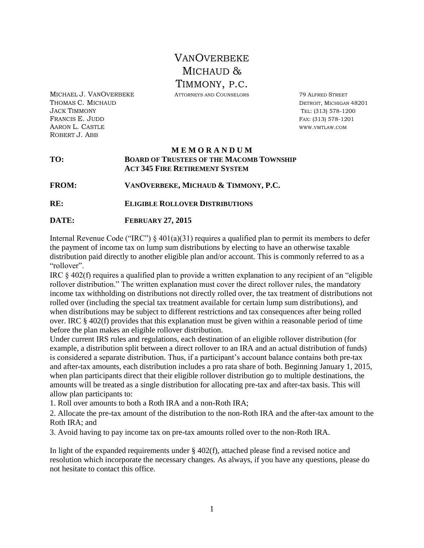# **VANOVERBEKE** MICHAUD & TIMMONY, P.C.

MICHAEL J. VANOVERBEKE ATTORNEYS AND COUNSELORS 79 ALFRED STREET

**THOMAS C. MICHAUD DETROIT, MICHAUD DETROIT**, MICHIGAN 48201 JACK TIMMONY TEL: (313) 578-1200 **FRANCIS E. JUDD** FAX: (313) 578-1201 AARON L. CASTLE WWW.VMTLAW.COM ROBERT J. ABB

#### **M E M O R A N D U M TO: BOARD OF TRUSTEES OF THE MACOMB TOWNSHIP ACT 345 FIRE RETIREMENT SYSTEM**

**FROM: VANOVERBEKE, MICHAUD & TIMMONY, P.C.** 

- **RE: ELIGIBLE ROLLOVER DISTRIBUTIONS**
- **DATE: FEBRUARY 27, 2015**

Internal Revenue Code ("IRC")  $\S 401(a)(31)$  requires a qualified plan to permit its members to defer the payment of income tax on lump sum distributions by electing to have an otherwise taxable distribution paid directly to another eligible plan and/or account. This is commonly referred to as a "rollover".

IRC § 402(f) requires a qualified plan to provide a written explanation to any recipient of an "eligible rollover distribution." The written explanation must cover the direct rollover rules, the mandatory income tax withholding on distributions not directly rolled over, the tax treatment of distributions not rolled over (including the special tax treatment available for certain lump sum distributions), and when distributions may be subject to different restrictions and tax consequences after being rolled over. IRC § 402(f) provides that this explanation must be given within a reasonable period of time before the plan makes an eligible rollover distribution.

Under current IRS rules and regulations, each destination of an eligible rollover distribution (for example, a distribution split between a direct rollover to an IRA and an actual distribution of funds) is considered a separate distribution. Thus, if a participant's account balance contains both pre-tax and after-tax amounts, each distribution includes a pro rata share of both. Beginning January 1, 2015, when plan participants direct that their eligible rollover distribution go to multiple destinations, the amounts will be treated as a single distribution for allocating pre-tax and after-tax basis. This will allow plan participants to:

1. Roll over amounts to both a Roth IRA and a non-Roth IRA;

2. Allocate the pre-tax amount of the distribution to the non-Roth IRA and the after-tax amount to the Roth IRA; and

3. Avoid having to pay income tax on pre-tax amounts rolled over to the non-Roth IRA.

In light of the expanded requirements under  $\S$  402(f), attached please find a revised notice and resolution which incorporate the necessary changes. As always, if you have any questions, please do not hesitate to contact this office.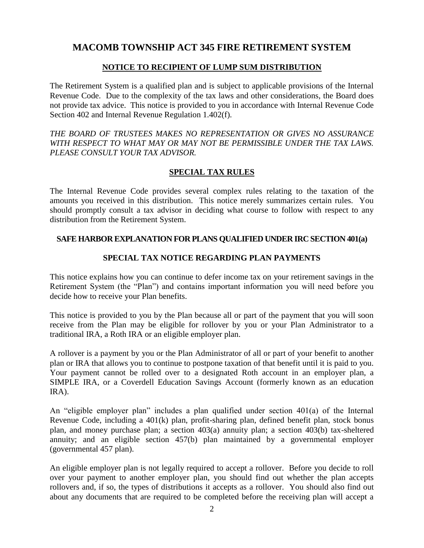# **MACOMB TOWNSHIP ACT 345 FIRE RETIREMENT SYSTEM**

### **NOTICE TO RECIPIENT OF LUMP SUM DISTRIBUTION**

The Retirement System is a qualified plan and is subject to applicable provisions of the Internal Revenue Code. Due to the complexity of the tax laws and other considerations, the Board does not provide tax advice. This notice is provided to you in accordance with Internal Revenue Code Section 402 and Internal Revenue Regulation 1.402(f).

*THE BOARD OF TRUSTEES MAKES NO REPRESENTATION OR GIVES NO ASSURANCE WITH RESPECT TO WHAT MAY OR MAY NOT BE PERMISSIBLE UNDER THE TAX LAWS. PLEASE CONSULT YOUR TAX ADVISOR.*

## **SPECIAL TAX RULES**

The Internal Revenue Code provides several complex rules relating to the taxation of the amounts you received in this distribution. This notice merely summarizes certain rules. You should promptly consult a tax advisor in deciding what course to follow with respect to any distribution from the Retirement System.

#### **SAFE HARBOR EXPLANATION FOR PLANS QUALIFIED UNDER IRC SECTION 401(a)**

## **SPECIAL TAX NOTICE REGARDING PLAN PAYMENTS**

This notice explains how you can continue to defer income tax on your retirement savings in the Retirement System (the "Plan") and contains important information you will need before you decide how to receive your Plan benefits.

This notice is provided to you by the Plan because all or part of the payment that you will soon receive from the Plan may be eligible for rollover by you or your Plan Administrator to a traditional IRA, a Roth IRA or an eligible employer plan.

A rollover is a payment by you or the Plan Administrator of all or part of your benefit to another plan or IRA that allows you to continue to postpone taxation of that benefit until it is paid to you. Your payment cannot be rolled over to a designated Roth account in an employer plan, a SIMPLE IRA, or a Coverdell Education Savings Account (formerly known as an education IRA).

An "eligible employer plan" includes a plan qualified under section 401(a) of the Internal Revenue Code, including a 401(k) plan, profit-sharing plan, defined benefit plan, stock bonus plan, and money purchase plan; a section 403(a) annuity plan; a section 403(b) tax-sheltered annuity; and an eligible section 457(b) plan maintained by a governmental employer (governmental 457 plan).

An eligible employer plan is not legally required to accept a rollover. Before you decide to roll over your payment to another employer plan, you should find out whether the plan accepts rollovers and, if so, the types of distributions it accepts as a rollover. You should also find out about any documents that are required to be completed before the receiving plan will accept a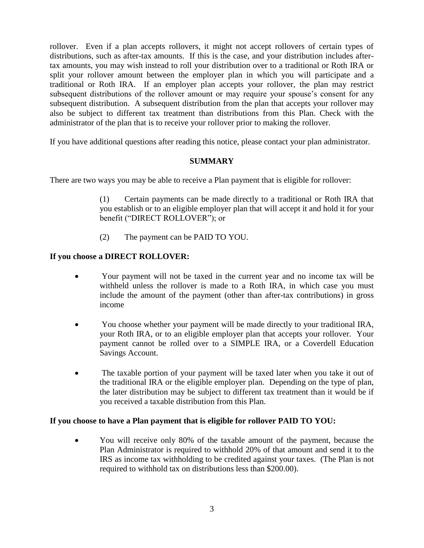rollover. Even if a plan accepts rollovers, it might not accept rollovers of certain types of distributions, such as after-tax amounts. If this is the case, and your distribution includes aftertax amounts, you may wish instead to roll your distribution over to a traditional or Roth IRA or split your rollover amount between the employer plan in which you will participate and a traditional or Roth IRA. If an employer plan accepts your rollover, the plan may restrict subsequent distributions of the rollover amount or may require your spouse's consent for any subsequent distribution. A subsequent distribution from the plan that accepts your rollover may also be subject to different tax treatment than distributions from this Plan. Check with the administrator of the plan that is to receive your rollover prior to making the rollover.

If you have additional questions after reading this notice, please contact your plan administrator.

#### **SUMMARY**

There are two ways you may be able to receive a Plan payment that is eligible for rollover:

(1) Certain payments can be made directly to a traditional or Roth IRA that you establish or to an eligible employer plan that will accept it and hold it for your benefit ("DIRECT ROLLOVER"); or

(2) The payment can be PAID TO YOU.

#### **If you choose a DIRECT ROLLOVER:**

- Your payment will not be taxed in the current year and no income tax will be withheld unless the rollover is made to a Roth IRA, in which case you must include the amount of the payment (other than after-tax contributions) in gross income
- You choose whether your payment will be made directly to your traditional IRA, your Roth IRA, or to an eligible employer plan that accepts your rollover. Your payment cannot be rolled over to a SIMPLE IRA, or a Coverdell Education Savings Account.
- The taxable portion of your payment will be taxed later when you take it out of the traditional IRA or the eligible employer plan. Depending on the type of plan, the later distribution may be subject to different tax treatment than it would be if you received a taxable distribution from this Plan.

#### **If you choose to have a Plan payment that is eligible for rollover PAID TO YOU:**

 You will receive only 80% of the taxable amount of the payment, because the Plan Administrator is required to withhold 20% of that amount and send it to the IRS as income tax withholding to be credited against your taxes. (The Plan is not required to withhold tax on distributions less than \$200.00).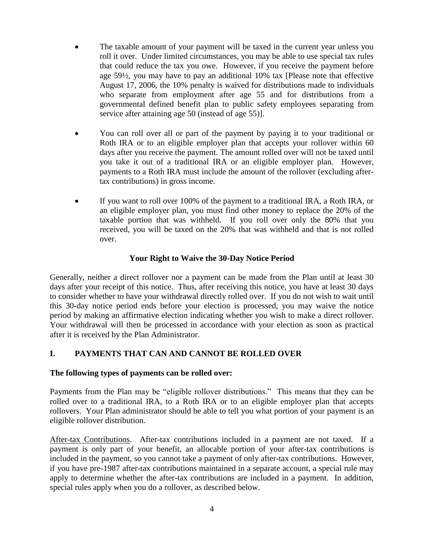- The taxable amount of your payment will be taxed in the current year unless you roll it over. Under limited circumstances, you may be able to use special tax rules that could reduce the tax you owe. However, if you receive the payment before age 59½, you may have to pay an additional 10% tax [Please note that effective August 17, 2006, the 10% penalty is waived for distributions made to individuals who separate from employment after age 55 and for distributions from a governmental defined benefit plan to public safety employees separating from service after attaining age 50 (instead of age 55)].
- You can roll over all or part of the payment by paying it to your traditional or Roth IRA or to an eligible employer plan that accepts your rollover within 60 days after you receive the payment. The amount rolled over will not be taxed until you take it out of a traditional IRA or an eligible employer plan. However, payments to a Roth IRA must include the amount of the rollover (excluding aftertax contributions) in gross income.
- If you want to roll over 100% of the payment to a traditional IRA, a Roth IRA, or an eligible employer plan, you must find other money to replace the 20% of the taxable portion that was withheld. If you roll over only the 80% that you received, you will be taxed on the 20% that was withheld and that is not rolled over.

# **Your Right to Waive the 30-Day Notice Period**

Generally, neither a direct rollover nor a payment can be made from the Plan until at least 30 days after your receipt of this notice. Thus, after receiving this notice, you have at least 30 days to consider whether to have your withdrawal directly rolled over. If you do not wish to wait until this 30-day notice period ends before your election is processed, you may waive the notice period by making an affirmative election indicating whether you wish to make a direct rollover. Your withdrawal will then be processed in accordance with your election as soon as practical after it is received by the Plan Administrator.

# **I. PAYMENTS THAT CAN AND CANNOT BE ROLLED OVER**

#### **The following types of payments can be rolled over:**

Payments from the Plan may be "eligible rollover distributions." This means that they can be rolled over to a traditional IRA, to a Roth IRA or to an eligible employer plan that accepts rollovers. Your Plan administrator should be able to tell you what portion of your payment is an eligible rollover distribution.

After-tax Contributions. After-tax contributions included in a payment are not taxed. If a payment is only part of your benefit, an allocable portion of your after-tax contributions is included in the payment, so you cannot take a payment of only after-tax contributions. However, if you have pre-1987 after-tax contributions maintained in a separate account, a special rule may apply to determine whether the after-tax contributions are included in a payment. In addition, special rules apply when you do a rollover, as described below.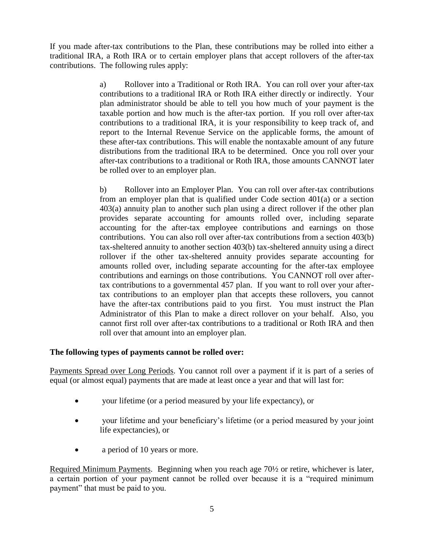If you made after-tax contributions to the Plan, these contributions may be rolled into either a traditional IRA, a Roth IRA or to certain employer plans that accept rollovers of the after-tax contributions. The following rules apply:

> a) Rollover into a Traditional or Roth IRA. You can roll over your after-tax contributions to a traditional IRA or Roth IRA either directly or indirectly. Your plan administrator should be able to tell you how much of your payment is the taxable portion and how much is the after-tax portion. If you roll over after-tax contributions to a traditional IRA, it is your responsibility to keep track of, and report to the Internal Revenue Service on the applicable forms, the amount of these after-tax contributions. This will enable the nontaxable amount of any future distributions from the traditional IRA to be determined. Once you roll over your after-tax contributions to a traditional or Roth IRA, those amounts CANNOT later be rolled over to an employer plan.

> b) Rollover into an Employer Plan. You can roll over after-tax contributions from an employer plan that is qualified under Code section 401(a) or a section 403(a) annuity plan to another such plan using a direct rollover if the other plan provides separate accounting for amounts rolled over, including separate accounting for the after-tax employee contributions and earnings on those contributions. You can also roll over after-tax contributions from a section 403(b) tax-sheltered annuity to another section 403(b) tax-sheltered annuity using a direct rollover if the other tax-sheltered annuity provides separate accounting for amounts rolled over, including separate accounting for the after-tax employee contributions and earnings on those contributions. You CANNOT roll over aftertax contributions to a governmental 457 plan. If you want to roll over your aftertax contributions to an employer plan that accepts these rollovers, you cannot have the after-tax contributions paid to you first. You must instruct the Plan Administrator of this Plan to make a direct rollover on your behalf. Also, you cannot first roll over after-tax contributions to a traditional or Roth IRA and then roll over that amount into an employer plan.

# **The following types of payments cannot be rolled over:**

Payments Spread over Long Periods. You cannot roll over a payment if it is part of a series of equal (or almost equal) payments that are made at least once a year and that will last for:

- your lifetime (or a period measured by your life expectancy), or
- your lifetime and your beneficiary's lifetime (or a period measured by your joint life expectancies), or
- a period of 10 years or more.

Required Minimum Payments. Beginning when you reach age 70½ or retire, whichever is later, a certain portion of your payment cannot be rolled over because it is a "required minimum payment" that must be paid to you.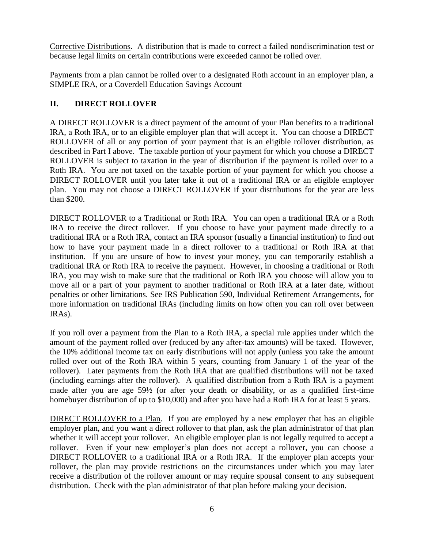Corrective Distributions. A distribution that is made to correct a failed nondiscrimination test or because legal limits on certain contributions were exceeded cannot be rolled over.

Payments from a plan cannot be rolled over to a designated Roth account in an employer plan, a SIMPLE IRA, or a Coverdell Education Savings Account

## **II. DIRECT ROLLOVER**

A DIRECT ROLLOVER is a direct payment of the amount of your Plan benefits to a traditional IRA, a Roth IRA, or to an eligible employer plan that will accept it. You can choose a DIRECT ROLLOVER of all or any portion of your payment that is an eligible rollover distribution, as described in Part I above. The taxable portion of your payment for which you choose a DIRECT ROLLOVER is subject to taxation in the year of distribution if the payment is rolled over to a Roth IRA. You are not taxed on the taxable portion of your payment for which you choose a DIRECT ROLLOVER until you later take it out of a traditional IRA or an eligible employer plan. You may not choose a DIRECT ROLLOVER if your distributions for the year are less than \$200.

DIRECT ROLLOVER to a Traditional or Roth IRA. You can open a traditional IRA or a Roth IRA to receive the direct rollover. If you choose to have your payment made directly to a traditional IRA or a Roth IRA, contact an IRA sponsor (usually a financial institution) to find out how to have your payment made in a direct rollover to a traditional or Roth IRA at that institution. If you are unsure of how to invest your money, you can temporarily establish a traditional IRA or Roth IRA to receive the payment. However, in choosing a traditional or Roth IRA, you may wish to make sure that the traditional or Roth IRA you choose will allow you to move all or a part of your payment to another traditional or Roth IRA at a later date, without penalties or other limitations. See IRS Publication 590, Individual Retirement Arrangements, for more information on traditional IRAs (including limits on how often you can roll over between IRAs).

If you roll over a payment from the Plan to a Roth IRA, a special rule applies under which the amount of the payment rolled over (reduced by any after-tax amounts) will be taxed. However, the 10% additional income tax on early distributions will not apply (unless you take the amount rolled over out of the Roth IRA within 5 years, counting from January 1 of the year of the rollover). Later payments from the Roth IRA that are qualified distributions will not be taxed (including earnings after the rollover). A qualified distribution from a Roth IRA is a payment made after you are age 59½ (or after your death or disability, or as a qualified first-time homebuyer distribution of up to \$10,000) and after you have had a Roth IRA for at least 5 years.

DIRECT ROLLOVER to a Plan. If you are employed by a new employer that has an eligible employer plan, and you want a direct rollover to that plan, ask the plan administrator of that plan whether it will accept your rollover. An eligible employer plan is not legally required to accept a rollover. Even if your new employer's plan does not accept a rollover, you can choose a DIRECT ROLLOVER to a traditional IRA or a Roth IRA. If the employer plan accepts your rollover, the plan may provide restrictions on the circumstances under which you may later receive a distribution of the rollover amount or may require spousal consent to any subsequent distribution. Check with the plan administrator of that plan before making your decision.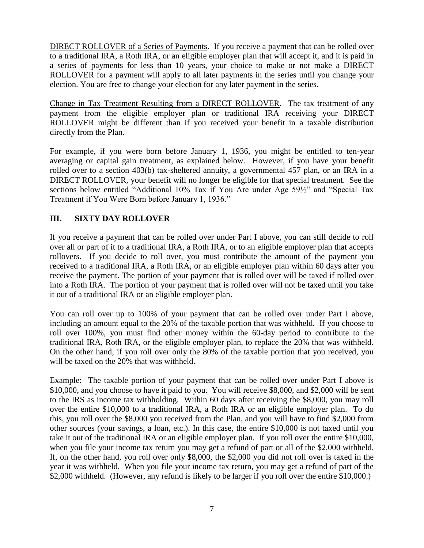DIRECT ROLLOVER of a Series of Payments. If you receive a payment that can be rolled over to a traditional IRA, a Roth IRA, or an eligible employer plan that will accept it, and it is paid in a series of payments for less than 10 years, your choice to make or not make a DIRECT ROLLOVER for a payment will apply to all later payments in the series until you change your election. You are free to change your election for any later payment in the series.

Change in Tax Treatment Resulting from a DIRECT ROLLOVER. The tax treatment of any payment from the eligible employer plan or traditional IRA receiving your DIRECT ROLLOVER might be different than if you received your benefit in a taxable distribution directly from the Plan.

For example, if you were born before January 1, 1936, you might be entitled to ten-year averaging or capital gain treatment, as explained below. However, if you have your benefit rolled over to a section 403(b) tax-sheltered annuity, a governmental 457 plan, or an IRA in a DIRECT ROLLOVER, your benefit will no longer be eligible for that special treatment. See the sections below entitled "Additional 10% Tax if You Are under Age 59½" and "Special Tax Treatment if You Were Born before January 1, 1936."

# **III. SIXTY DAY ROLLOVER**

If you receive a payment that can be rolled over under Part I above, you can still decide to roll over all or part of it to a traditional IRA, a Roth IRA, or to an eligible employer plan that accepts rollovers. If you decide to roll over, you must contribute the amount of the payment you received to a traditional IRA, a Roth IRA, or an eligible employer plan within 60 days after you receive the payment. The portion of your payment that is rolled over will be taxed if rolled over into a Roth IRA. The portion of your payment that is rolled over will not be taxed until you take it out of a traditional IRA or an eligible employer plan.

You can roll over up to 100% of your payment that can be rolled over under Part I above, including an amount equal to the 20% of the taxable portion that was withheld. If you choose to roll over 100%, you must find other money within the 60-day period to contribute to the traditional IRA, Roth IRA, or the eligible employer plan, to replace the 20% that was withheld. On the other hand, if you roll over only the 80% of the taxable portion that you received, you will be taxed on the 20% that was withheld.

Example: The taxable portion of your payment that can be rolled over under Part I above is \$10,000, and you choose to have it paid to you. You will receive \$8,000, and \$2,000 will be sent to the IRS as income tax withholding. Within 60 days after receiving the \$8,000, you may roll over the entire \$10,000 to a traditional IRA, a Roth IRA or an eligible employer plan. To do this, you roll over the \$8,000 you received from the Plan, and you will have to find \$2,000 from other sources (your savings, a loan, etc.). In this case, the entire \$10,000 is not taxed until you take it out of the traditional IRA or an eligible employer plan. If you roll over the entire \$10,000, when you file your income tax return you may get a refund of part or all of the \$2,000 withheld. If, on the other hand, you roll over only \$8,000, the \$2,000 you did not roll over is taxed in the year it was withheld. When you file your income tax return, you may get a refund of part of the \$2,000 withheld. (However, any refund is likely to be larger if you roll over the entire \$10,000.)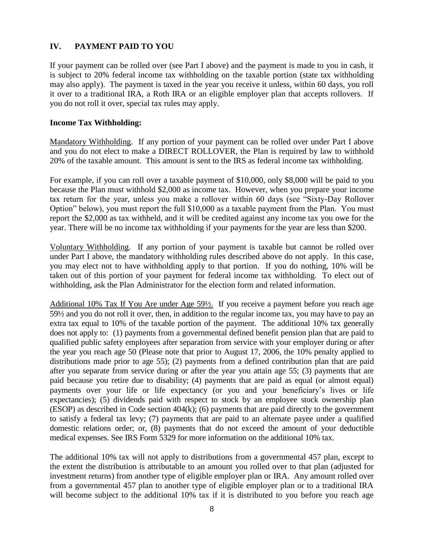# **IV. PAYMENT PAID TO YOU**

If your payment can be rolled over (see Part I above) and the payment is made to you in cash, it is subject to 20% federal income tax withholding on the taxable portion (state tax withholding may also apply). The payment is taxed in the year you receive it unless, within 60 days, you roll it over to a traditional IRA, a Roth IRA or an eligible employer plan that accepts rollovers. If you do not roll it over, special tax rules may apply.

### **Income Tax Withholding:**

Mandatory Withholding. If any portion of your payment can be rolled over under Part I above and you do not elect to make a DIRECT ROLLOVER, the Plan is required by law to withhold 20% of the taxable amount. This amount is sent to the IRS as federal income tax withholding.

For example, if you can roll over a taxable payment of \$10,000, only \$8,000 will be paid to you because the Plan must withhold \$2,000 as income tax. However, when you prepare your income tax return for the year, unless you make a rollover within 60 days (see "Sixty-Day Rollover Option" below), you must report the full \$10,000 as a taxable payment from the Plan. You must report the \$2,000 as tax withheld, and it will be credited against any income tax you owe for the year. There will be no income tax withholding if your payments for the year are less than \$200.

Voluntary Withholding. If any portion of your payment is taxable but cannot be rolled over under Part I above, the mandatory withholding rules described above do not apply. In this case, you may elect not to have withholding apply to that portion. If you do nothing, 10% will be taken out of this portion of your payment for federal income tax withholding. To elect out of withholding, ask the Plan Administrator for the election form and related information.

Additional 10% Tax If You Are under Age 59½. If you receive a payment before you reach age 59½ and you do not roll it over, then, in addition to the regular income tax, you may have to pay an extra tax equal to 10% of the taxable portion of the payment. The additional 10% tax generally does not apply to: (1) payments from a governmental defined benefit pension plan that are paid to qualified public safety employees after separation from service with your employer during or after the year you reach age 50 (Please note that prior to August 17, 2006, the 10% penalty applied to distributions made prior to age 55); (2) payments from a defined contribution plan that are paid after you separate from service during or after the year you attain age 55; (3) payments that are paid because you retire due to disability; (4) payments that are paid as equal (or almost equal) payments over your life or life expectancy (or you and your beneficiary's lives or life expectancies); (5) dividends paid with respect to stock by an employee stock ownership plan (ESOP) as described in Code section 404(k); (6) payments that are paid directly to the government to satisfy a federal tax levy; (7) payments that are paid to an alternate payee under a qualified domestic relations order; or, (8) payments that do not exceed the amount of your deductible medical expenses. See IRS Form 5329 for more information on the additional 10% tax.

The additional 10% tax will not apply to distributions from a governmental 457 plan, except to the extent the distribution is attributable to an amount you rolled over to that plan (adjusted for investment returns) from another type of eligible employer plan or IRA. Any amount rolled over from a governmental 457 plan to another type of eligible employer plan or to a traditional IRA will become subject to the additional 10% tax if it is distributed to you before you reach age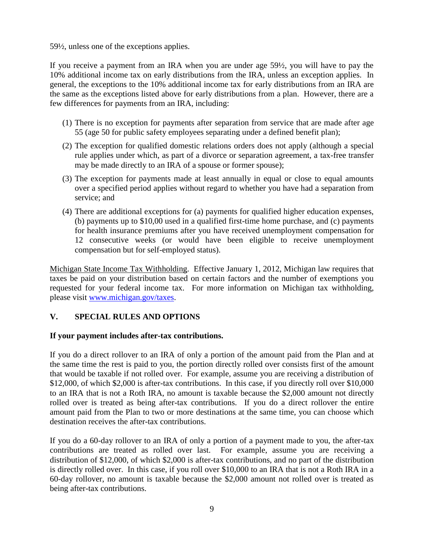59½, unless one of the exceptions applies.

If you receive a payment from an IRA when you are under age 59½, you will have to pay the 10% additional income tax on early distributions from the IRA, unless an exception applies. In general, the exceptions to the 10% additional income tax for early distributions from an IRA are the same as the exceptions listed above for early distributions from a plan. However, there are a few differences for payments from an IRA, including:

- (1) There is no exception for payments after separation from service that are made after age 55 (age 50 for public safety employees separating under a defined benefit plan);
- (2) The exception for qualified domestic relations orders does not apply (although a special rule applies under which, as part of a divorce or separation agreement, a tax-free transfer may be made directly to an IRA of a spouse or former spouse);
- (3) The exception for payments made at least annually in equal or close to equal amounts over a specified period applies without regard to whether you have had a separation from service; and
- (4) There are additional exceptions for (a) payments for qualified higher education expenses, (b) payments up to \$10,00 used in a qualified first-time home purchase, and (c) payments for health insurance premiums after you have received unemployment compensation for 12 consecutive weeks (or would have been eligible to receive unemployment compensation but for self-employed status).

Michigan State Income Tax Withholding. Effective January 1, 2012, Michigan law requires that taxes be paid on your distribution based on certain factors and the number of exemptions you requested for your federal income tax. For more information on Michigan tax withholding, please visit [www.michigan.gov/taxes.](http://www.michigan.gov/taxes)

# **V. SPECIAL RULES AND OPTIONS**

#### **If your payment includes after-tax contributions.**

If you do a direct rollover to an IRA of only a portion of the amount paid from the Plan and at the same time the rest is paid to you, the portion directly rolled over consists first of the amount that would be taxable if not rolled over. For example, assume you are receiving a distribution of \$12,000, of which \$2,000 is after-tax contributions. In this case, if you directly roll over \$10,000 to an IRA that is not a Roth IRA, no amount is taxable because the \$2,000 amount not directly rolled over is treated as being after-tax contributions. If you do a direct rollover the entire amount paid from the Plan to two or more destinations at the same time, you can choose which destination receives the after-tax contributions.

If you do a 60-day rollover to an IRA of only a portion of a payment made to you, the after-tax contributions are treated as rolled over last. For example, assume you are receiving a distribution of \$12,000, of which \$2,000 is after-tax contributions, and no part of the distribution is directly rolled over. In this case, if you roll over \$10,000 to an IRA that is not a Roth IRA in a 60-day rollover, no amount is taxable because the \$2,000 amount not rolled over is treated as being after-tax contributions.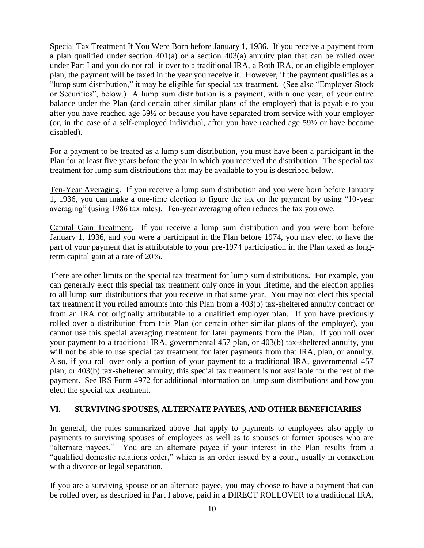Special Tax Treatment If You Were Born before January 1, 1936. If you receive a payment from a plan qualified under section 401(a) or a section 403(a) annuity plan that can be rolled over under Part I and you do not roll it over to a traditional IRA, a Roth IRA, or an eligible employer plan, the payment will be taxed in the year you receive it. However, if the payment qualifies as a "lump sum distribution," it may be eligible for special tax treatment. (See also "Employer Stock or Securities", below.) A lump sum distribution is a payment, within one year, of your entire balance under the Plan (and certain other similar plans of the employer) that is payable to you after you have reached age 59½ or because you have separated from service with your employer (or, in the case of a self-employed individual, after you have reached age 59½ or have become disabled).

For a payment to be treated as a lump sum distribution, you must have been a participant in the Plan for at least five years before the year in which you received the distribution. The special tax treatment for lump sum distributions that may be available to you is described below.

Ten-Year Averaging. If you receive a lump sum distribution and you were born before January 1, 1936, you can make a one-time election to figure the tax on the payment by using "10-year averaging" (using 1986 tax rates). Ten-year averaging often reduces the tax you owe.

Capital Gain Treatment. If you receive a lump sum distribution and you were born before January 1, 1936, and you were a participant in the Plan before 1974, you may elect to have the part of your payment that is attributable to your pre-1974 participation in the Plan taxed as longterm capital gain at a rate of 20%.

There are other limits on the special tax treatment for lump sum distributions. For example, you can generally elect this special tax treatment only once in your lifetime, and the election applies to all lump sum distributions that you receive in that same year. You may not elect this special tax treatment if you rolled amounts into this Plan from a 403(b) tax-sheltered annuity contract or from an IRA not originally attributable to a qualified employer plan. If you have previously rolled over a distribution from this Plan (or certain other similar plans of the employer), you cannot use this special averaging treatment for later payments from the Plan. If you roll over your payment to a traditional IRA, governmental 457 plan, or 403(b) tax-sheltered annuity, you will not be able to use special tax treatment for later payments from that IRA, plan, or annuity. Also, if you roll over only a portion of your payment to a traditional IRA, governmental 457 plan, or 403(b) tax-sheltered annuity, this special tax treatment is not available for the rest of the payment. See IRS Form 4972 for additional information on lump sum distributions and how you elect the special tax treatment.

#### **VI. SURVIVING SPOUSES, ALTERNATE PAYEES, AND OTHER BENEFICIARIES**

In general, the rules summarized above that apply to payments to employees also apply to payments to surviving spouses of employees as well as to spouses or former spouses who are "alternate payees." You are an alternate payee if your interest in the Plan results from a "qualified domestic relations order," which is an order issued by a court, usually in connection with a divorce or legal separation.

If you are a surviving spouse or an alternate payee, you may choose to have a payment that can be rolled over, as described in Part I above, paid in a DIRECT ROLLOVER to a traditional IRA,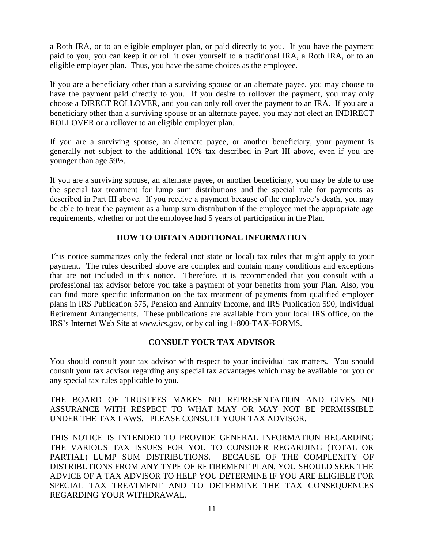a Roth IRA, or to an eligible employer plan, or paid directly to you. If you have the payment paid to you, you can keep it or roll it over yourself to a traditional IRA, a Roth IRA, or to an eligible employer plan. Thus, you have the same choices as the employee.

If you are a beneficiary other than a surviving spouse or an alternate payee, you may choose to have the payment paid directly to you. If you desire to rollover the payment, you may only choose a DIRECT ROLLOVER, and you can only roll over the payment to an IRA. If you are a beneficiary other than a surviving spouse or an alternate payee, you may not elect an INDIRECT ROLLOVER or a rollover to an eligible employer plan.

If you are a surviving spouse, an alternate payee, or another beneficiary, your payment is generally not subject to the additional 10% tax described in Part III above, even if you are younger than age 59½.

If you are a surviving spouse, an alternate payee, or another beneficiary, you may be able to use the special tax treatment for lump sum distributions and the special rule for payments as described in Part III above. If you receive a payment because of the employee's death, you may be able to treat the payment as a lump sum distribution if the employee met the appropriate age requirements, whether or not the employee had 5 years of participation in the Plan.

# **HOW TO OBTAIN ADDITIONAL INFORMATION**

This notice summarizes only the federal (not state or local) tax rules that might apply to your payment. The rules described above are complex and contain many conditions and exceptions that are not included in this notice. Therefore, it is recommended that you consult with a professional tax advisor before you take a payment of your benefits from your Plan. Also, you can find more specific information on the tax treatment of payments from qualified employer plans in IRS Publication 575, Pension and Annuity Income, and IRS Publication 590, Individual Retirement Arrangements. These publications are available from your local IRS office, on the IRS's Internet Web Site at *www.irs.go*v, or by calling 1-800-TAX-FORMS.

# **CONSULT YOUR TAX ADVISOR**

You should consult your tax advisor with respect to your individual tax matters. You should consult your tax advisor regarding any special tax advantages which may be available for you or any special tax rules applicable to you.

THE BOARD OF TRUSTEES MAKES NO REPRESENTATION AND GIVES NO ASSURANCE WITH RESPECT TO WHAT MAY OR MAY NOT BE PERMISSIBLE UNDER THE TAX LAWS. PLEASE CONSULT YOUR TAX ADVISOR.

THIS NOTICE IS INTENDED TO PROVIDE GENERAL INFORMATION REGARDING THE VARIOUS TAX ISSUES FOR YOU TO CONSIDER REGARDING (TOTAL OR PARTIAL) LUMP SUM DISTRIBUTIONS. BECAUSE OF THE COMPLEXITY OF DISTRIBUTIONS FROM ANY TYPE OF RETIREMENT PLAN, YOU SHOULD SEEK THE ADVICE OF A TAX ADVISOR TO HELP YOU DETERMINE IF YOU ARE ELIGIBLE FOR SPECIAL TAX TREATMENT AND TO DETERMINE THE TAX CONSEQUENCES REGARDING YOUR WITHDRAWAL.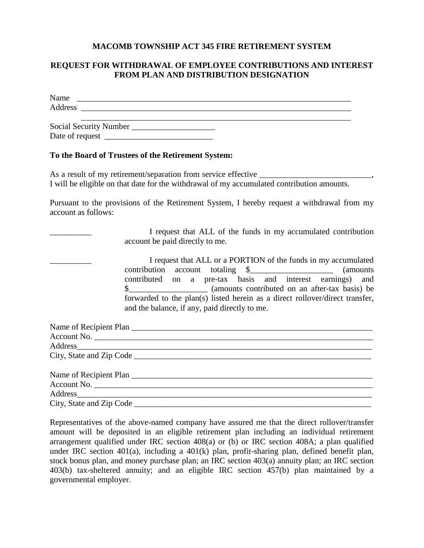#### **MACOMB TOWNSHIP ACT 345 FIRE RETIREMENT SYSTEM**

#### **REQUEST FOR WITHDRAWAL OF EMPLOYEE CONTRIBUTIONS AND INTEREST FROM PLAN AND DISTRIBUTION DESIGNATION**

| Name                   |  |  |
|------------------------|--|--|
| Address                |  |  |
|                        |  |  |
| Social Security Number |  |  |
| Date of request        |  |  |

#### **To the Board of Trustees of the Retirement System:**

As a result of my retirement/separation from service effective \_\_\_\_\_\_\_\_\_\_\_\_\_\_\_\_\_ I will be eligible on that date for the withdrawal of my accumulated contribution amounts.

Pursuant to the provisions of the Retirement System, I hereby request a withdrawal from my account as follows:

> I request that ALL of the funds in my accumulated contribution account be paid directly to me.

I request that ALL or a PORTION of the funds in my accumulated contribution account totaling \$ (amounts) contributed on a pre-tax basis and interest earnings) and \$\_\_\_\_\_\_\_\_\_\_\_\_\_\_\_\_\_\_\_ (amounts contributed on an after-tax basis) be forwarded to the plan(s) listed herein as a direct rollover/direct transfer, and the balance, if any, paid directly to me.

| Name of Recipient Plan   |  |
|--------------------------|--|
| Account No.              |  |
| Address                  |  |
|                          |  |
|                          |  |
|                          |  |
|                          |  |
|                          |  |
| City, State and Zip Code |  |

Representatives of the above-named company have assured me that the direct rollover/transfer amount will be deposited in an eligible retirement plan including an individual retirement arrangement qualified under IRC section 408(a) or (b) or IRC section 408A; a plan qualified under IRC section 401(a), including a 401(k) plan, profit-sharing plan, defined benefit plan, stock bonus plan, and money purchase plan; an IRC section 403(a) annuity plan; an IRC section 403(b) tax-sheltered annuity; and an eligible IRC section 457(b) plan maintained by a governmental employer.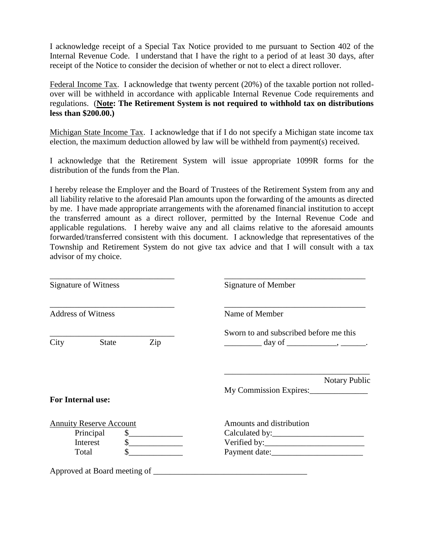I acknowledge receipt of a Special Tax Notice provided to me pursuant to Section 402 of the Internal Revenue Code. I understand that I have the right to a period of at least 30 days, after receipt of the Notice to consider the decision of whether or not to elect a direct rollover.

Federal Income Tax. I acknowledge that twenty percent (20%) of the taxable portion not rolledover will be withheld in accordance with applicable Internal Revenue Code requirements and regulations. (**Note: The Retirement System is not required to withhold tax on distributions less than \$200.00.)**

Michigan State Income Tax. I acknowledge that if I do not specify a Michigan state income tax election, the maximum deduction allowed by law will be withheld from payment(s) received.

I acknowledge that the Retirement System will issue appropriate 1099R forms for the distribution of the funds from the Plan.

I hereby release the Employer and the Board of Trustees of the Retirement System from any and all liability relative to the aforesaid Plan amounts upon the forwarding of the amounts as directed by me. I have made appropriate arrangements with the aforenamed financial institution to accept the transferred amount as a direct rollover, permitted by the Internal Revenue Code and applicable regulations. I hereby waive any and all claims relative to the aforesaid amounts forwarded/transferred consistent with this document. I acknowledge that representatives of the Township and Retirement System do not give tax advice and that I will consult with a tax advisor of my choice.

| <b>Signature of Witness</b><br><b>Address of Witness</b>         |              | <b>Signature of Member</b><br>Name of Member   |  |
|------------------------------------------------------------------|--------------|------------------------------------------------|--|
|                                                                  |              |                                                |  |
| <b>For Internal use:</b>                                         |              | <b>Notary Public</b><br>My Commission Expires: |  |
| <b>Annuity Reserve Account</b><br>Principal<br>Interest<br>Total | s<br>s<br>\$ | Amounts and distribution                       |  |
| Approved at Board meeting of _                                   |              |                                                |  |